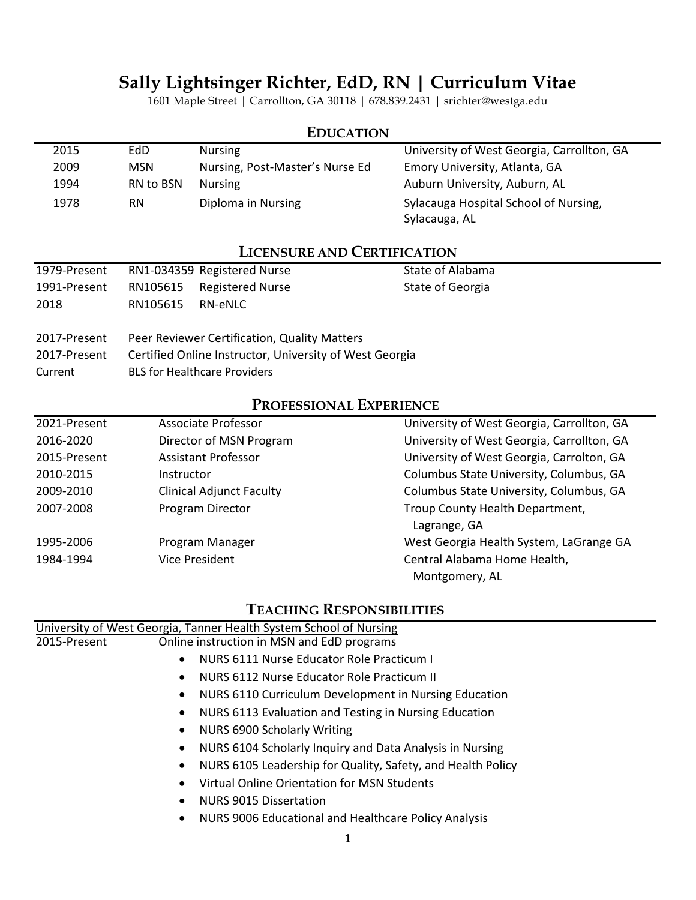## **Sally Lightsinger Richter, EdD, RN | Curriculum Vitae**

1601 Maple Street | Carrollton, GA 30118 | 678.839.2431 | srichter@westga.edu

| <b>EDUCATION</b> |            |                                 |                                            |
|------------------|------------|---------------------------------|--------------------------------------------|
| 2015             | EdD.       | <b>Nursing</b>                  | University of West Georgia, Carrollton, GA |
| 2009             | <b>MSN</b> | Nursing, Post-Master's Nurse Ed | Emory University, Atlanta, GA              |
| 1994             | RN to BSN  | <b>Nursing</b>                  | Auburn University, Auburn, AL              |
| 1978             | RN         | Diploma in Nursing              | Sylacauga Hospital School of Nursing,      |
|                  |            |                                 | Sylacauga, AL                              |

## **LICENSURE AND CERTIFICATION**

| 1979-Present         |          | RN1-034359 Registered Nurse                  | State of Alabama |
|----------------------|----------|----------------------------------------------|------------------|
| 1991-Present<br>2018 | RN105615 | RN105615 Registered Nurse<br>RN-eNLC         | State of Georgia |
| 2017-Present         |          | Peer Reviewer Certification, Quality Matters |                  |

- 2017-Present Certified Online Instructor, University of West Georgia
- Current BLS for Healthcare Providers

## **PROFESSIONAL EXPERIENCE**

| 2021-Present | Associate Professor             | University of West Georgia, Carrollton, GA |
|--------------|---------------------------------|--------------------------------------------|
| 2016-2020    | Director of MSN Program         | University of West Georgia, Carrollton, GA |
| 2015-Present | <b>Assistant Professor</b>      | University of West Georgia, Carrolton, GA  |
| 2010-2015    | Instructor                      | Columbus State University, Columbus, GA    |
| 2009-2010    | <b>Clinical Adjunct Faculty</b> | Columbus State University, Columbus, GA    |
| 2007-2008    | Program Director                | Troup County Health Department,            |
|              |                                 | Lagrange, GA                               |
| 1995-2006    | Program Manager                 | West Georgia Health System, LaGrange GA    |
| 1984-1994    | <b>Vice President</b>           | Central Alabama Home Health,               |
|              |                                 | Montgomery, AL                             |

## **TEACHING RESPONSIBILITIES**

|              | University of West Georgia, Tanner Health System School of Nursing       |  |
|--------------|--------------------------------------------------------------------------|--|
| 2015-Present | Online instruction in MSN and EdD programs                               |  |
|              | NURS 6111 Nurse Educator Role Practicum I<br>$\bullet$                   |  |
|              | NURS 6112 Nurse Educator Role Practicum II<br>$\bullet$                  |  |
|              | NURS 6110 Curriculum Development in Nursing Education<br>$\bullet$       |  |
|              | NURS 6113 Evaluation and Testing in Nursing Education<br>$\bullet$       |  |
|              | NURS 6900 Scholarly Writing<br>$\bullet$                                 |  |
|              | NURS 6104 Scholarly Inquiry and Data Analysis in Nursing<br>$\bullet$    |  |
|              | NURS 6105 Leadership for Quality, Safety, and Health Policy<br>$\bullet$ |  |
|              | Virtual Online Orientation for MSN Students<br>$\bullet$                 |  |
|              | <b>NURS 9015 Dissertation</b>                                            |  |
|              | NURS 9006 Educational and Healthcare Policy Analysis                     |  |
|              |                                                                          |  |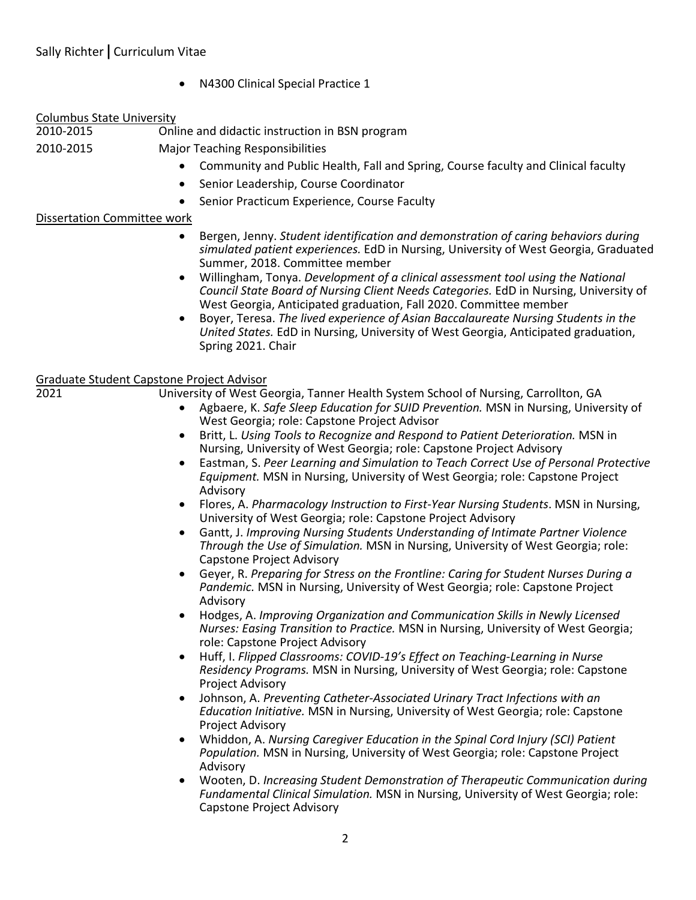• N4300 Clinical Special Practice 1

#### Columbus State University

| 2010-2015 | Online and didactic instruction in BSN program |
|-----------|------------------------------------------------|
| 2010-2015 | <b>Major Teaching Responsibilities</b>         |

- Community and Public Health, Fall and Spring, Course faculty and Clinical faculty
- Senior Leadership, Course Coordinator
- Senior Practicum Experience, Course Faculty

#### Dissertation Committee work

- Bergen, Jenny. *Student identification and demonstration of caring behaviors during simulated patient experiences.* EdD in Nursing, University of West Georgia, Graduated Summer, 2018. Committee member
- Willingham, Tonya. *Development of a clinical assessment tool using the National Council State Board of Nursing Client Needs Categories.* EdD in Nursing, University of West Georgia, Anticipated graduation, Fall 2020. Committee member
- Boyer, Teresa. *The lived experience of Asian Baccalaureate Nursing Students in the United States.* EdD in Nursing, University of West Georgia, Anticipated graduation, Spring 2021. Chair

# Graduate Student Capstone Project Advisor

University of West Georgia, Tanner Health System School of Nursing, Carrollton, GA

- Agbaere, K. *Safe Sleep Education for SUID Prevention.* MSN in Nursing, University of West Georgia; role: Capstone Project Advisor
- Britt, L. *Using Tools to Recognize and Respond to Patient Deterioration.* MSN in Nursing, University of West Georgia; role: Capstone Project Advisory
- Eastman, S. *Peer Learning and Simulation to Teach Correct Use of Personal Protective Equipment.* MSN in Nursing, University of West Georgia; role: Capstone Project Advisory
- Flores, A. *Pharmacology Instruction to First-Year Nursing Students*. MSN in Nursing, University of West Georgia; role: Capstone Project Advisory
- Gantt, J. *Improving Nursing Students Understanding of Intimate Partner Violence Through the Use of Simulation.* MSN in Nursing, University of West Georgia; role: Capstone Project Advisory
- Geyer, R. *Preparing for Stress on the Frontline: Caring for Student Nurses During a Pandemic.* MSN in Nursing, University of West Georgia; role: Capstone Project Advisory
- Hodges, A. *Improving Organization and Communication Skills in Newly Licensed Nurses: Easing Transition to Practice.* MSN in Nursing, University of West Georgia; role: Capstone Project Advisory
- Huff, I. *Flipped Classrooms: COVID-19's Effect on Teaching-Learning in Nurse Residency Programs.* MSN in Nursing, University of West Georgia; role: Capstone Project Advisory
- Johnson, A. *Preventing Catheter-Associated Urinary Tract Infections with an Education Initiative.* MSN in Nursing, University of West Georgia; role: Capstone Project Advisory
- Whiddon, A. *Nursing Caregiver Education in the Spinal Cord Injury (SCI) Patient Population.* MSN in Nursing, University of West Georgia; role: Capstone Project Advisory
- Wooten, D. *Increasing Student Demonstration of Therapeutic Communication during Fundamental Clinical Simulation.* MSN in Nursing, University of West Georgia; role: Capstone Project Advisory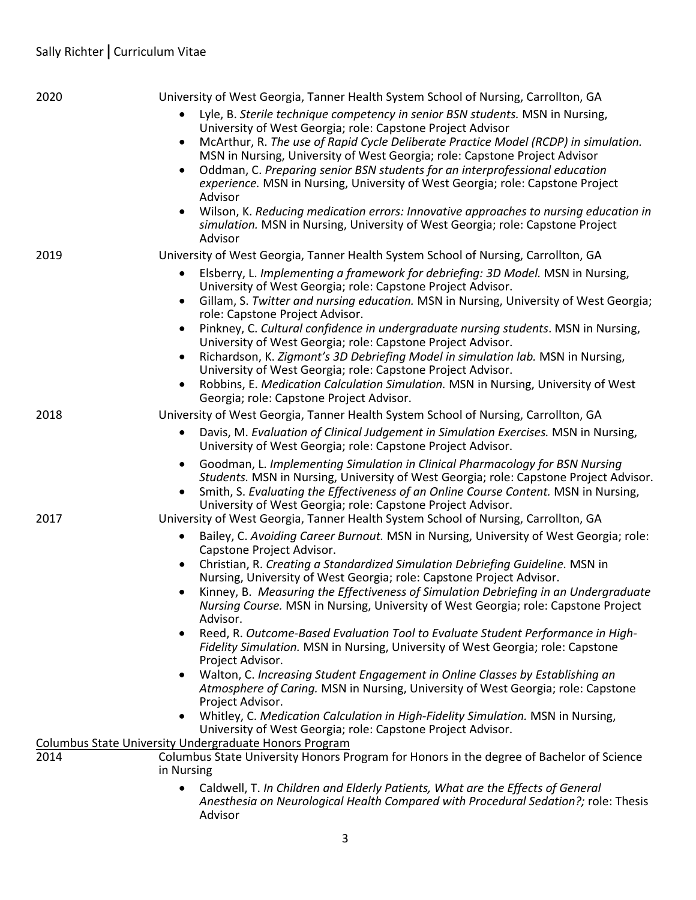| 2020 | University of West Georgia, Tanner Health System School of Nursing, Carrollton, GA                                                                                             |
|------|--------------------------------------------------------------------------------------------------------------------------------------------------------------------------------|
|      | Lyle, B. Sterile technique competency in senior BSN students. MSN in Nursing,                                                                                                  |
|      | University of West Georgia; role: Capstone Project Advisor                                                                                                                     |
|      | McArthur, R. The use of Rapid Cycle Deliberate Practice Model (RCDP) in simulation.<br>$\bullet$<br>MSN in Nursing, University of West Georgia; role: Capstone Project Advisor |
|      | Oddman, C. Preparing senior BSN students for an interprofessional education                                                                                                    |
|      | experience. MSN in Nursing, University of West Georgia; role: Capstone Project                                                                                                 |
|      | Advisor                                                                                                                                                                        |
|      | Wilson, K. Reducing medication errors: Innovative approaches to nursing education in                                                                                           |
|      | simulation. MSN in Nursing, University of West Georgia; role: Capstone Project                                                                                                 |
| 2019 | Advisor<br>University of West Georgia, Tanner Health System School of Nursing, Carrollton, GA                                                                                  |
|      | Elsberry, L. Implementing a framework for debriefing: 3D Model. MSN in Nursing,                                                                                                |
|      | University of West Georgia; role: Capstone Project Advisor.                                                                                                                    |
|      | Gillam, S. Twitter and nursing education. MSN in Nursing, University of West Georgia;<br>$\bullet$                                                                             |
|      | role: Capstone Project Advisor.                                                                                                                                                |
|      | Pinkney, C. Cultural confidence in undergraduate nursing students. MSN in Nursing,<br>$\bullet$                                                                                |
|      | University of West Georgia; role: Capstone Project Advisor.<br>Richardson, K. Zigmont's 3D Debriefing Model in simulation lab. MSN in Nursing,<br>$\bullet$                    |
|      | University of West Georgia; role: Capstone Project Advisor.                                                                                                                    |
|      | Robbins, E. Medication Calculation Simulation. MSN in Nursing, University of West<br>$\bullet$                                                                                 |
|      | Georgia; role: Capstone Project Advisor.                                                                                                                                       |
| 2018 | University of West Georgia, Tanner Health System School of Nursing, Carrollton, GA                                                                                             |
|      | Davis, M. Evaluation of Clinical Judgement in Simulation Exercises. MSN in Nursing,<br>University of West Georgia; role: Capstone Project Advisor.                             |
|      | Goodman, L. Implementing Simulation in Clinical Pharmacology for BSN Nursing<br>$\bullet$                                                                                      |
|      | Students. MSN in Nursing, University of West Georgia; role: Capstone Project Advisor.                                                                                          |
|      | Smith, S. Evaluating the Effectiveness of an Online Course Content. MSN in Nursing,<br>University of West Georgia; role: Capstone Project Advisor.                             |
| 2017 | University of West Georgia, Tanner Health System School of Nursing, Carrollton, GA                                                                                             |
|      | Bailey, C. Avoiding Career Burnout. MSN in Nursing, University of West Georgia; role:                                                                                          |
|      | Capstone Project Advisor.                                                                                                                                                      |
|      | Christian, R. Creating a Standardized Simulation Debriefing Guideline. MSN in<br>$\bullet$                                                                                     |
|      | Nursing, University of West Georgia; role: Capstone Project Advisor.                                                                                                           |
|      | Kinney, B. Measuring the Effectiveness of Simulation Debriefing in an Undergraduate<br>Nursing Course. MSN in Nursing, University of West Georgia; role: Capstone Project      |
|      | Advisor.                                                                                                                                                                       |
|      | Reed, R. Outcome-Based Evaluation Tool to Evaluate Student Performance in High-                                                                                                |
|      | Fidelity Simulation. MSN in Nursing, University of West Georgia; role: Capstone                                                                                                |
|      | Project Advisor.<br>Walton, C. Increasing Student Engagement in Online Classes by Establishing an                                                                              |
|      | Atmosphere of Caring. MSN in Nursing, University of West Georgia; role: Capstone                                                                                               |
|      | Project Advisor.                                                                                                                                                               |
|      | Whitley, C. Medication Calculation in High-Fidelity Simulation. MSN in Nursing,                                                                                                |
|      | University of West Georgia; role: Capstone Project Advisor.<br>Columbus State University Undergraduate Honors Program                                                          |
| 2014 | Columbus State University Honors Program for Honors in the degree of Bachelor of Science                                                                                       |
|      | in Nursing                                                                                                                                                                     |
|      | Caldwell, T. In Children and Elderly Patients, What are the Effects of General<br>$\bullet$                                                                                    |
|      | Anesthesia on Neurological Health Compared with Procedural Sedation?; role: Thesis                                                                                             |
|      | Advisor                                                                                                                                                                        |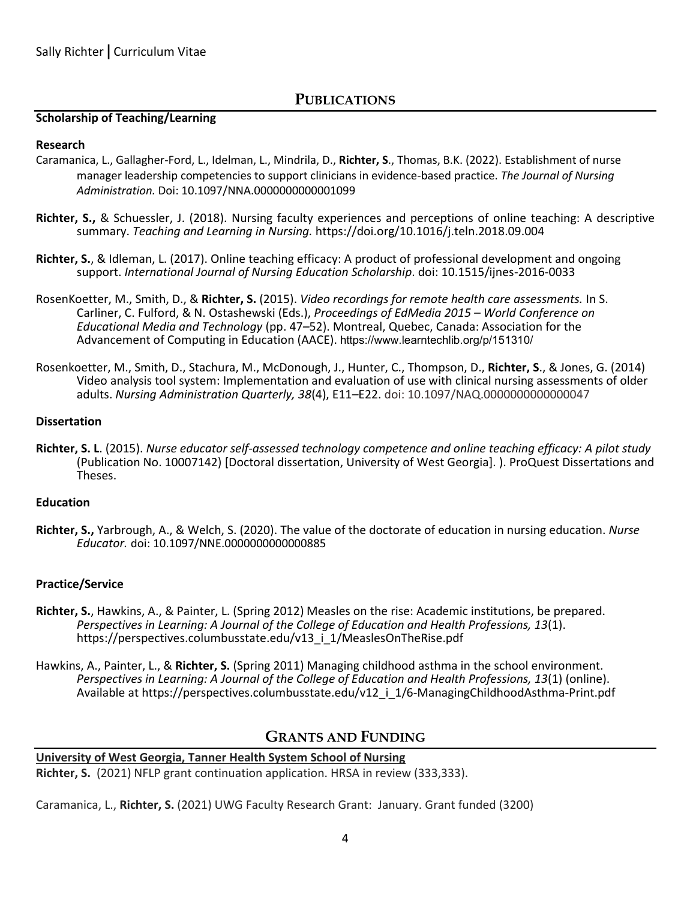### **PUBLICATIONS**

#### **Scholarship of Teaching/Learning**

#### **Research**

- Caramanica, L., Gallagher-Ford, L., Idelman, L., Mindrila, D., **Richter, S**., Thomas, B.K. (2022). Establishment of nurse manager leadership competencies to support clinicians in evidence-based practice. *The Journal of Nursing Administration.* Doi: 10.1097/NNA.0000000000001099
- **Richter, S.,** & Schuessler, J. (2018). Nursing faculty experiences and perceptions of online teaching: A descriptive summary. *Teaching and Learning in Nursing.* https://doi.org/10.1016/j.teln.2018.09.004
- **Richter, S.**, & Idleman, L. (2017). Online teaching efficacy: A product of professional development and ongoing support. *International Journal of Nursing Education Scholarship*. doi: 10.1515/ijnes-2016-0033
- RosenKoetter, M., Smith, D., & **Richter, S.** (2015). *Video recordings for remote health care assessments.* In S. Carliner, C. Fulford, & N. Ostashewski (Eds.), *Proceedings of EdMedia 2015 – World Conference on Educational Media and Technology* (pp. 47*–*52). Montreal, Quebec, Canada: Association for the Advancement of Computing in Education (AACE). https://www.learntechlib.org/p/151310/
- Rosenkoetter, M., Smith, D., Stachura, M., McDonough, J., Hunter, C., Thompson, D., **Richter, S**., & Jones, G. (2014) Video analysis tool system: Implementation and evaluation of use with clinical nursing assessments of older adults. *Nursing Administration Quarterly, 38*(4), E11*–*E22. doi: 10.1097/NAQ.0000000000000047

#### **Dissertation**

**Richter, S. L**. (2015). *Nurse educator self-assessed technology competence and online teaching efficacy: A pilot study*  (Publication No. 10007142) [Doctoral dissertation, University of West Georgia]. ). ProQuest Dissertations and Theses.

#### **Education**

**Richter, S.,** Yarbrough, A., & Welch, S. (2020). The value of the doctorate of education in nursing education. *Nurse Educator.* doi: 10.1097/NNE.0000000000000885

#### **Practice/Service**

- **Richter, S.**, Hawkins, A., & Painter, L. (Spring 2012) Measles on the rise: Academic institutions, be prepared. *Perspectives in Learning: A Journal of the College of Education and Health Professions, 13*(1). https://perspectives.columbusstate.edu/v13\_i\_1/MeaslesOnTheRise.pdf
- Hawkins, A., Painter, L., & **Richter, S.** (Spring 2011) Managing childhood asthma in the school environment. *Perspectives in Learning: A Journal of the College of Education and Health Professions, 13*(1) (online). Available at https://perspectives.columbusstate.edu/v12\_i\_1/6-ManagingChildhoodAsthma-Print.pdf

#### **GRANTS AND FUNDING**

## **University of West Georgia, Tanner Health System School of Nursing**

**Richter, S.** (2021) NFLP grant continuation application. HRSA in review (333,333).

Caramanica, L., **Richter, S.** (2021) UWG Faculty Research Grant: January. Grant funded (3200)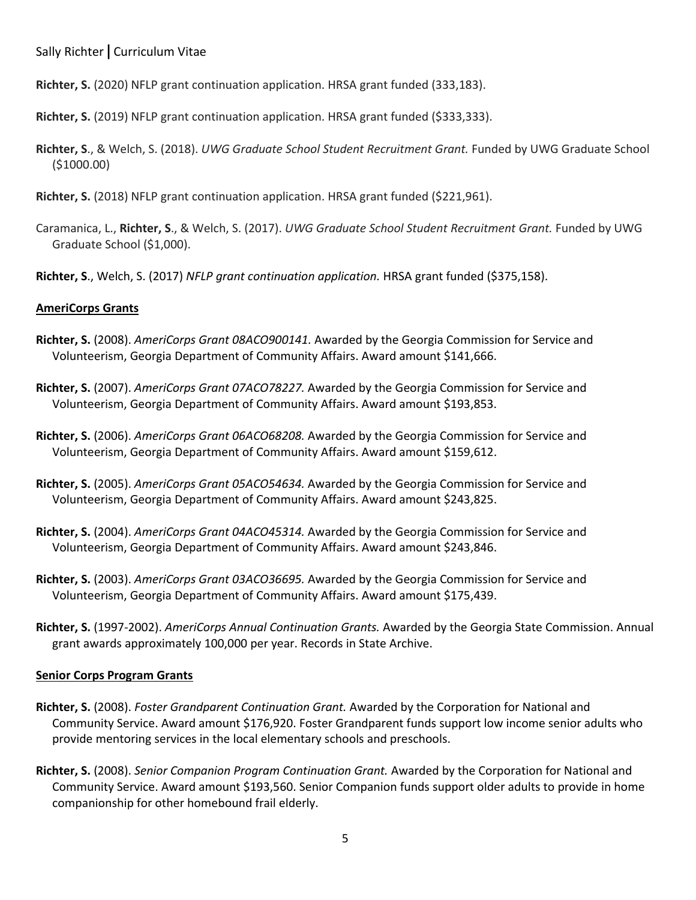**Richter, S.** (2020) NFLP grant continuation application. HRSA grant funded (333,183).

**Richter, S.** (2019) NFLP grant continuation application. HRSA grant funded (\$333,333).

- **Richter, S**., & Welch, S. (2018). *UWG Graduate School Student Recruitment Grant.* Funded by UWG Graduate School (\$1000.00)
- **Richter, S.** (2018) NFLP grant continuation application. HRSA grant funded (\$221,961).
- Caramanica, L., **Richter, S**., & Welch, S. (2017). *UWG Graduate School Student Recruitment Grant.* Funded by UWG Graduate School (\$1,000).
- **Richter, S**., Welch, S. (2017) *NFLP grant continuation application.* HRSA grant funded (\$375,158).

#### **AmeriCorps Grants**

- **Richter, S.** (2008). *AmeriCorps Grant 08ACO900141.* Awarded by the Georgia Commission for Service and Volunteerism, Georgia Department of Community Affairs. Award amount \$141,666.
- **Richter, S.** (2007). *AmeriCorps Grant 07ACO78227.* Awarded by the Georgia Commission for Service and Volunteerism, Georgia Department of Community Affairs. Award amount \$193,853.
- **Richter, S.** (2006). *AmeriCorps Grant 06ACO68208.* Awarded by the Georgia Commission for Service and Volunteerism, Georgia Department of Community Affairs. Award amount \$159,612.
- **Richter, S.** (2005). *AmeriCorps Grant 05ACO54634.* Awarded by the Georgia Commission for Service and Volunteerism, Georgia Department of Community Affairs. Award amount \$243,825.
- **Richter, S.** (2004). *AmeriCorps Grant 04ACO45314.* Awarded by the Georgia Commission for Service and Volunteerism, Georgia Department of Community Affairs. Award amount \$243,846.
- **Richter, S.** (2003). *AmeriCorps Grant 03ACO36695.* Awarded by the Georgia Commission for Service and Volunteerism, Georgia Department of Community Affairs. Award amount \$175,439.
- **Richter, S.** (1997-2002). *AmeriCorps Annual Continuation Grants.* Awarded by the Georgia State Commission. Annual grant awards approximately 100,000 per year. Records in State Archive.

#### **Senior Corps Program Grants**

- **Richter, S.** (2008). *Foster Grandparent Continuation Grant.* Awarded by the Corporation for National and Community Service. Award amount \$176,920. Foster Grandparent funds support low income senior adults who provide mentoring services in the local elementary schools and preschools.
- **Richter, S.** (2008). *Senior Companion Program Continuation Grant.* Awarded by the Corporation for National and Community Service. Award amount \$193,560. Senior Companion funds support older adults to provide in home companionship for other homebound frail elderly.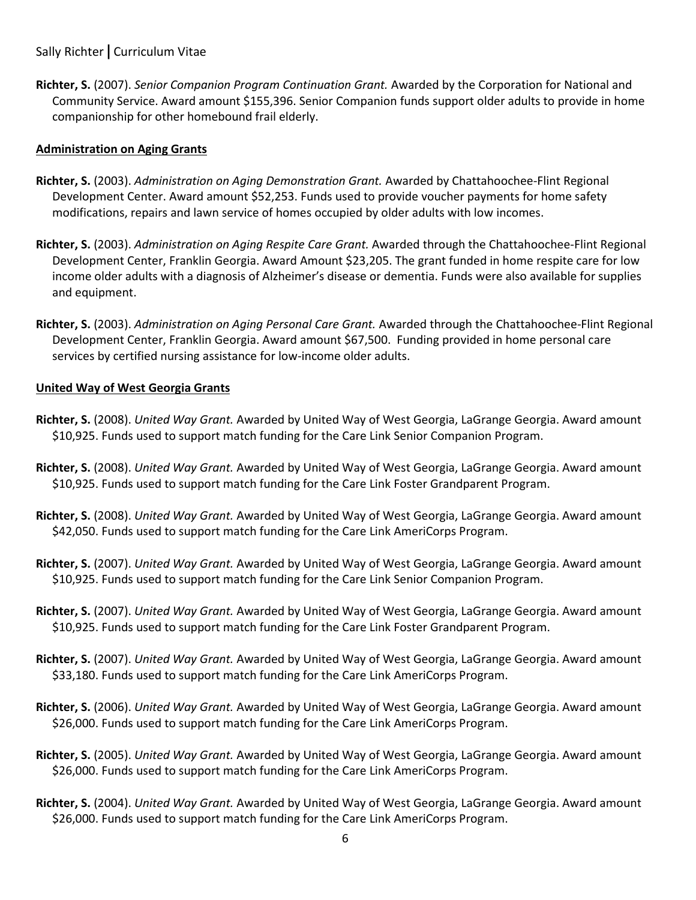**Richter, S.** (2007). *Senior Companion Program Continuation Grant.* Awarded by the Corporation for National and Community Service. Award amount \$155,396. Senior Companion funds support older adults to provide in home companionship for other homebound frail elderly.

#### **Administration on Aging Grants**

- **Richter, S.** (2003). *Administration on Aging Demonstration Grant.* Awarded by Chattahoochee-Flint Regional Development Center. Award amount \$52,253. Funds used to provide voucher payments for home safety modifications, repairs and lawn service of homes occupied by older adults with low incomes.
- **Richter, S.** (2003). *Administration on Aging Respite Care Grant.* Awarded through the Chattahoochee-Flint Regional Development Center, Franklin Georgia. Award Amount \$23,205. The grant funded in home respite care for low income older adults with a diagnosis of Alzheimer's disease or dementia. Funds were also available for supplies and equipment.
- **Richter, S.** (2003). *Administration on Aging Personal Care Grant.* Awarded through the Chattahoochee-Flint Regional Development Center, Franklin Georgia. Award amount \$67,500. Funding provided in home personal care services by certified nursing assistance for low-income older adults.

#### **United Way of West Georgia Grants**

- **Richter, S.** (2008). *United Way Grant.* Awarded by United Way of West Georgia, LaGrange Georgia. Award amount \$10,925. Funds used to support match funding for the Care Link Senior Companion Program.
- **Richter, S.** (2008). *United Way Grant.* Awarded by United Way of West Georgia, LaGrange Georgia. Award amount \$10,925. Funds used to support match funding for the Care Link Foster Grandparent Program.
- **Richter, S.** (2008). *United Way Grant.* Awarded by United Way of West Georgia, LaGrange Georgia. Award amount \$42,050. Funds used to support match funding for the Care Link AmeriCorps Program.
- **Richter, S.** (2007). *United Way Grant.* Awarded by United Way of West Georgia, LaGrange Georgia. Award amount \$10,925. Funds used to support match funding for the Care Link Senior Companion Program.
- **Richter, S.** (2007). *United Way Grant.* Awarded by United Way of West Georgia, LaGrange Georgia. Award amount \$10,925. Funds used to support match funding for the Care Link Foster Grandparent Program.
- **Richter, S.** (2007). *United Way Grant.* Awarded by United Way of West Georgia, LaGrange Georgia. Award amount \$33,180. Funds used to support match funding for the Care Link AmeriCorps Program.
- **Richter, S.** (2006). *United Way Grant.* Awarded by United Way of West Georgia, LaGrange Georgia. Award amount \$26,000. Funds used to support match funding for the Care Link AmeriCorps Program.
- **Richter, S.** (2005). *United Way Grant.* Awarded by United Way of West Georgia, LaGrange Georgia. Award amount \$26,000. Funds used to support match funding for the Care Link AmeriCorps Program.
- **Richter, S.** (2004). *United Way Grant.* Awarded by United Way of West Georgia, LaGrange Georgia. Award amount \$26,000. Funds used to support match funding for the Care Link AmeriCorps Program.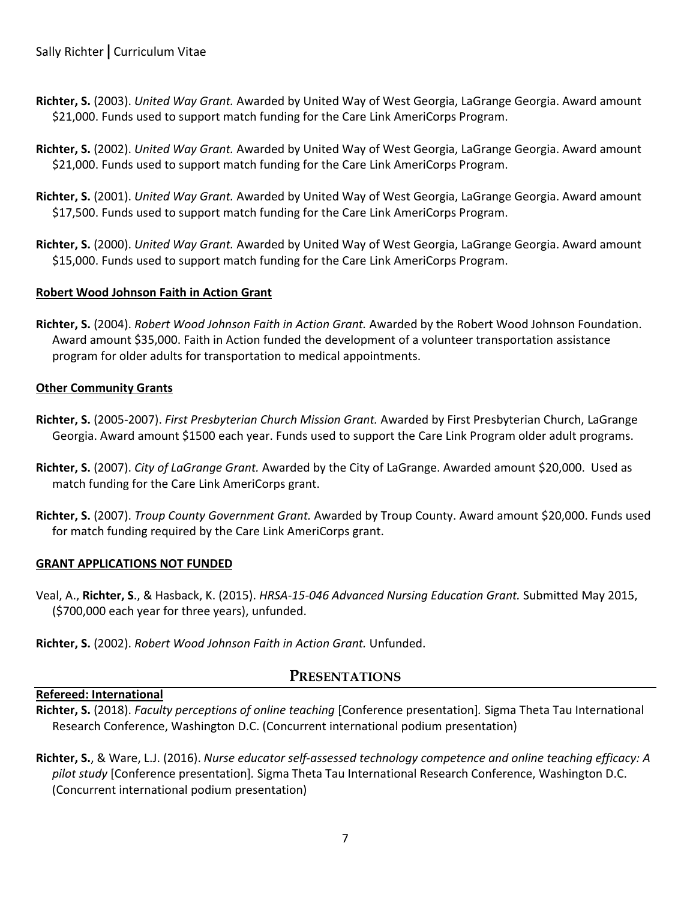- **Richter, S.** (2003). *United Way Grant.* Awarded by United Way of West Georgia, LaGrange Georgia. Award amount \$21,000. Funds used to support match funding for the Care Link AmeriCorps Program.
- **Richter, S.** (2002). *United Way Grant.* Awarded by United Way of West Georgia, LaGrange Georgia. Award amount \$21,000. Funds used to support match funding for the Care Link AmeriCorps Program.
- **Richter, S.** (2001). *United Way Grant.* Awarded by United Way of West Georgia, LaGrange Georgia. Award amount \$17,500. Funds used to support match funding for the Care Link AmeriCorps Program.
- **Richter, S.** (2000). *United Way Grant.* Awarded by United Way of West Georgia, LaGrange Georgia. Award amount \$15,000. Funds used to support match funding for the Care Link AmeriCorps Program.

#### **Robert Wood Johnson Faith in Action Grant**

**Richter, S.** (2004). *Robert Wood Johnson Faith in Action Grant.* Awarded by the Robert Wood Johnson Foundation. Award amount \$35,000. Faith in Action funded the development of a volunteer transportation assistance program for older adults for transportation to medical appointments.

#### **Other Community Grants**

- **Richter, S.** (2005-2007). *First Presbyterian Church Mission Grant.* Awarded by First Presbyterian Church, LaGrange Georgia. Award amount \$1500 each year. Funds used to support the Care Link Program older adult programs.
- **Richter, S.** (2007). *City of LaGrange Grant.* Awarded by the City of LaGrange. Awarded amount \$20,000. Used as match funding for the Care Link AmeriCorps grant.
- **Richter, S.** (2007). *Troup County Government Grant.* Awarded by Troup County. Award amount \$20,000. Funds used for match funding required by the Care Link AmeriCorps grant.

#### **GRANT APPLICATIONS NOT FUNDED**

- Veal, A., **Richter, S**., & Hasback, K. (2015). *HRSA-15-046 Advanced Nursing Education Grant.* Submitted May 2015, (\$700,000 each year for three years), unfunded.
- **Richter, S.** (2002). *Robert Wood Johnson Faith in Action Grant.* Unfunded.

## **PRESENTATIONS**

#### **Refereed: International**

- **Richter, S.** (2018). *Faculty perceptions of online teaching* [Conference presentation]*.* Sigma Theta Tau International Research Conference, Washington D.C. (Concurrent international podium presentation)
- **Richter, S.**, & Ware, L.J. (2016). *Nurse educator self-assessed technology competence and online teaching efficacy: A pilot study* [Conference presentation]*.* Sigma Theta Tau International Research Conference, Washington D.C. (Concurrent international podium presentation)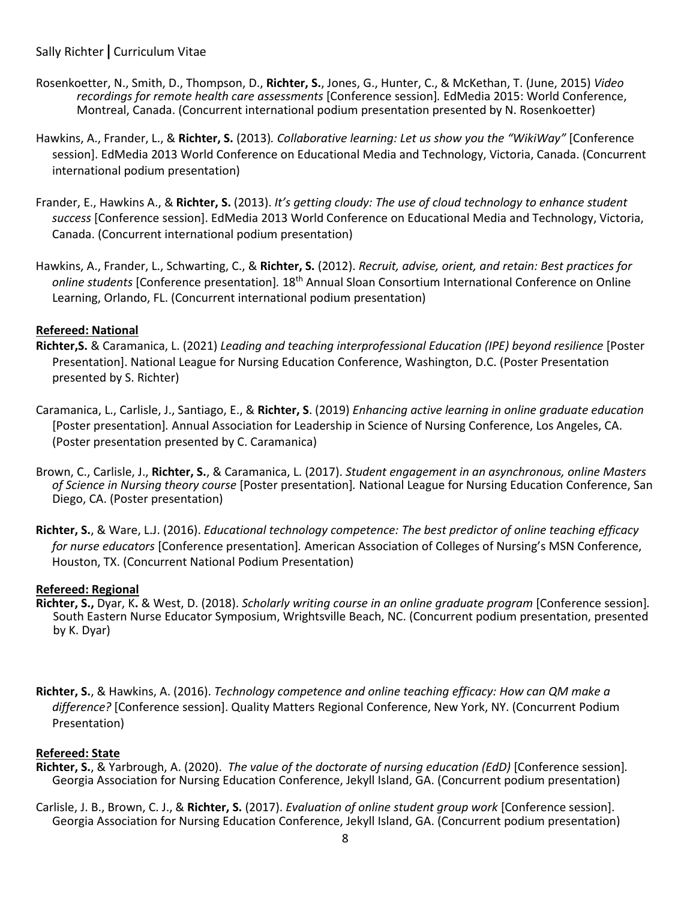- Rosenkoetter, N., Smith, D., Thompson, D., **Richter, S.**, Jones, G., Hunter, C., & McKethan, T. (June, 2015) *Video recordings for remote health care assessments* [Conference session]*.* EdMedia 2015: World Conference, Montreal, Canada. (Concurrent international podium presentation presented by N. Rosenkoetter)
- Hawkins, A., Frander, L., & **Richter, S.** (2013)*. Collaborative learning: Let us show you the "WikiWay"* [Conference session]. EdMedia 2013 World Conference on Educational Media and Technology, Victoria, Canada. (Concurrent international podium presentation)
- Frander, E., Hawkins A., & **Richter, S.** (2013). *It's getting cloudy: The use of cloud technology to enhance student success* [Conference session]. EdMedia 2013 World Conference on Educational Media and Technology, Victoria, Canada. (Concurrent international podium presentation)
- Hawkins, A., Frander, L., Schwarting, C., & **Richter, S.** (2012). *Recruit, advise, orient, and retain: Best practices for online students* [Conference presentation]*.* 18th Annual Sloan Consortium International Conference on Online Learning, Orlando, FL. (Concurrent international podium presentation)

#### **Refereed: National**

- **Richter,S.** & Caramanica, L. (2021) *Leading and teaching interprofessional Education (IPE) beyond resilience* [Poster Presentation]. National League for Nursing Education Conference, Washington, D.C. (Poster Presentation presented by S. Richter)
- Caramanica, L., Carlisle, J., Santiago, E., & **Richter, S**. (2019) *Enhancing active learning in online graduate education*  [Poster presentation]*.* Annual Association for Leadership in Science of Nursing Conference, Los Angeles, CA. (Poster presentation presented by C. Caramanica)
- Brown, C., Carlisle, J., **Richter, S.**, & Caramanica, L. (2017). *Student engagement in an asynchronous, online Masters of Science in Nursing theory course* [Poster presentation]*.* National League for Nursing Education Conference, San Diego, CA. (Poster presentation)
- **Richter, S.**, & Ware, L.J. (2016). *Educational technology competence: The best predictor of online teaching efficacy for nurse educators* [Conference presentation]*.* American Association of Colleges of Nursing's MSN Conference, Houston, TX. (Concurrent National Podium Presentation)

#### **Refereed: Regional**

- **Richter, S.,** Dyar, K**.** & West, D. (2018). *Scholarly writing course in an online graduate program* [Conference session]*.* South Eastern Nurse Educator Symposium, Wrightsville Beach, NC. (Concurrent podium presentation, presented by K. Dyar)
- **Richter, S.**, & Hawkins, A. (2016). *Technology competence and online teaching efficacy: How can QM make a difference?* [Conference session]. Quality Matters Regional Conference, New York, NY. (Concurrent Podium Presentation)

#### **Refereed: State**

- **Richter, S.**, & Yarbrough, A. (2020). *The value of the doctorate of nursing education (EdD)* [Conference session]*.*  Georgia Association for Nursing Education Conference, Jekyll Island, GA. (Concurrent podium presentation)
- Carlisle, J. B., Brown, C. J., & **Richter, S.** (2017). *Evaluation of online student group work* [Conference session]. Georgia Association for Nursing Education Conference, Jekyll Island, GA. (Concurrent podium presentation)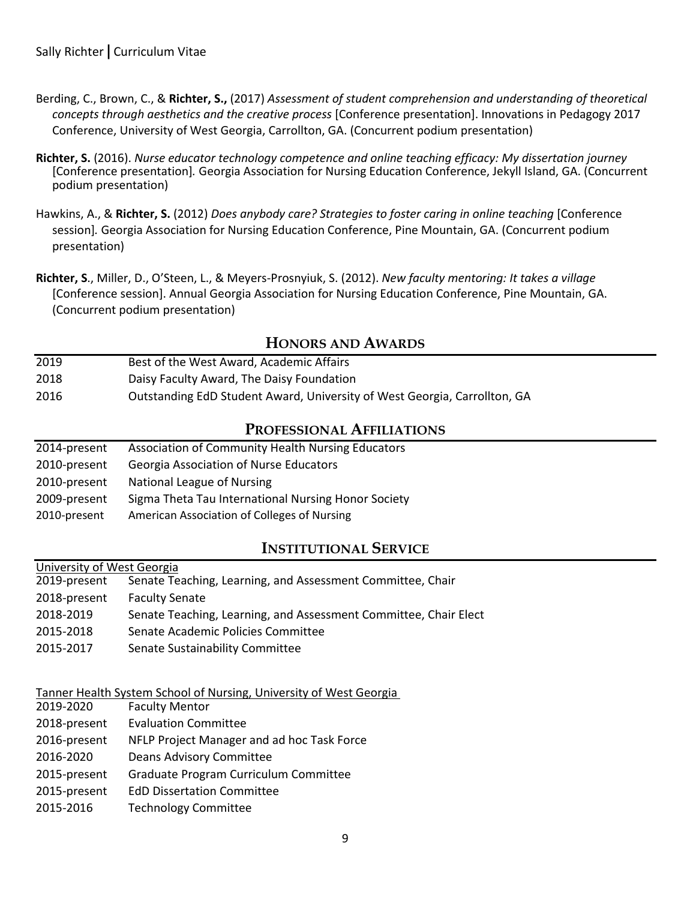- Berding, C., Brown, C., & **Richter, S.,** (2017) *Assessment of student comprehension and understanding of theoretical concepts through aesthetics and the creative process* [Conference presentation]. Innovations in Pedagogy 2017 Conference, University of West Georgia, Carrollton, GA. (Concurrent podium presentation)
- **Richter, S.** (2016). *Nurse educator technology competence and online teaching efficacy: My dissertation journey* [Conference presentation]*.* Georgia Association for Nursing Education Conference, Jekyll Island, GA. (Concurrent podium presentation)
- Hawkins, A., & **Richter, S.** (2012) *Does anybody care? Strategies to foster caring in online teaching* [Conference session]*.* Georgia Association for Nursing Education Conference, Pine Mountain, GA. (Concurrent podium presentation)
- **Richter, S**., Miller, D., O'Steen, L., & Meyers-Prosnyiuk, S. (2012). *New faculty mentoring: It takes a village*  [Conference session]. Annual Georgia Association for Nursing Education Conference, Pine Mountain, GA. (Concurrent podium presentation)

## **HONORS AND AWARDS**

2019 Best of the West Award, Academic Affairs 2018 Daisy Faculty Award, The Daisy Foundation 2016 Outstanding EdD Student Award, University of West Georgia, Carrollton, GA

## **PROFESSIONAL AFFILIATIONS**

| 2014-present | <b>Association of Community Health Nursing Educators</b> |
|--------------|----------------------------------------------------------|
| 2010-present | <b>Georgia Association of Nurse Educators</b>            |
| 2010-present | National League of Nursing                               |
| 2009-present | Sigma Theta Tau International Nursing Honor Society      |
| 2010-present | American Association of Colleges of Nursing              |

## **INSTITUTIONAL SERVICE**

#### University of West Georgia

| 2019-present | Senate Teaching, Learning, and Assessment Committee, Chair       |
|--------------|------------------------------------------------------------------|
| 2018-present | <b>Faculty Senate</b>                                            |
| 2018-2019    | Senate Teaching, Learning, and Assessment Committee, Chair Elect |
| 2015-2018    | Senate Academic Policies Committee                               |
| 2015-2017    | Senate Sustainability Committee                                  |

#### Tanner Health System School of Nursing, University of West Georgia

| 2019-2020    | <b>Faculty Mentor</b>                      |
|--------------|--------------------------------------------|
| 2018-present | <b>Evaluation Committee</b>                |
| 2016-present | NFLP Project Manager and ad hoc Task Force |
| 2016-2020    | Deans Advisory Committee                   |
| 2015-present | Graduate Program Curriculum Committee      |
| 2015-present | <b>EdD Dissertation Committee</b>          |
| 2015-2016    | <b>Technology Committee</b>                |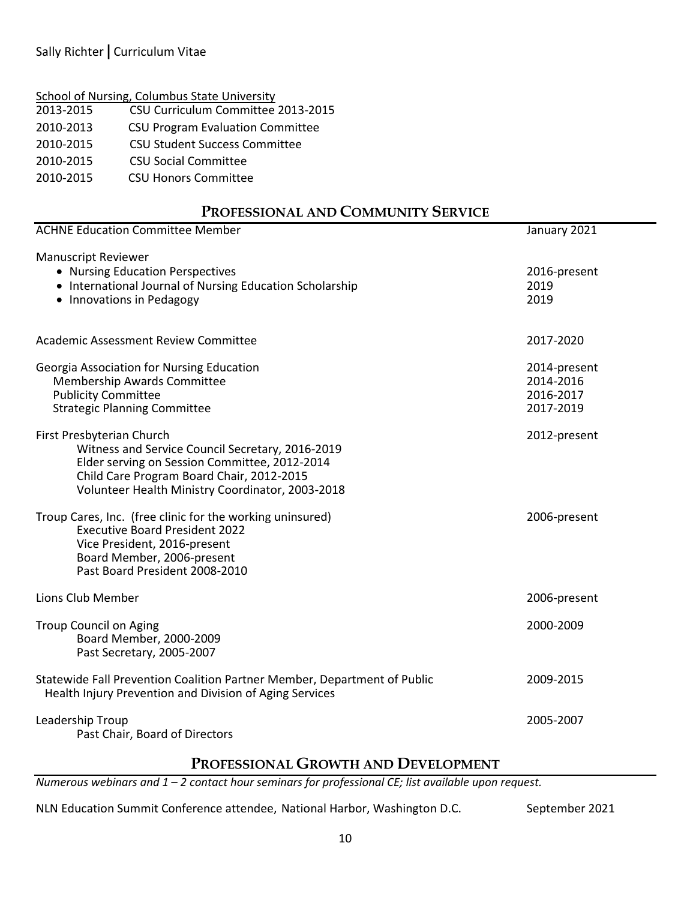2013-2015 CSU Curriculum Committee 2013-2015

2010-2013CSU Program Evaluation Committee

2010-2015 CSU Student Success Committee

2010-2015 CSU Social Committee

2010-2015 CSU Honors Committee

## **PROFESSIONAL AND COMMUNITY SERVICE**

| <b>ACHNE Education Committee Member</b>                                                                                                                                                                                         | January 2021                                        |
|---------------------------------------------------------------------------------------------------------------------------------------------------------------------------------------------------------------------------------|-----------------------------------------------------|
| <b>Manuscript Reviewer</b><br>• Nursing Education Perspectives<br>• International Journal of Nursing Education Scholarship<br>• Innovations in Pedagogy                                                                         | 2016-present<br>2019<br>2019                        |
| <b>Academic Assessment Review Committee</b>                                                                                                                                                                                     | 2017-2020                                           |
| Georgia Association for Nursing Education<br>Membership Awards Committee<br><b>Publicity Committee</b><br><b>Strategic Planning Committee</b>                                                                                   | 2014-present<br>2014-2016<br>2016-2017<br>2017-2019 |
| First Presbyterian Church<br>Witness and Service Council Secretary, 2016-2019<br>Elder serving on Session Committee, 2012-2014<br>Child Care Program Board Chair, 2012-2015<br>Volunteer Health Ministry Coordinator, 2003-2018 | 2012-present                                        |
| Troup Cares, Inc. (free clinic for the working uninsured)<br><b>Executive Board President 2022</b><br>Vice President, 2016-present<br>Board Member, 2006-present<br>Past Board President 2008-2010                              | 2006-present                                        |
| Lions Club Member                                                                                                                                                                                                               | 2006-present                                        |
| <b>Troup Council on Aging</b><br>Board Member, 2000-2009<br>Past Secretary, 2005-2007                                                                                                                                           | 2000-2009                                           |
| Statewide Fall Prevention Coalition Partner Member, Department of Public<br>Health Injury Prevention and Division of Aging Services                                                                                             | 2009-2015                                           |
| Leadership Troup<br>Past Chair, Board of Directors                                                                                                                                                                              | 2005-2007                                           |

## **PROFESSIONAL GROWTH AND DEVELOPMENT**

*Numerous webinars and 1 – 2 contact hour seminars for professional CE; list available upon request.* 

NLN Education Summit Conference attendee, National Harbor, Washington D.C. September 2021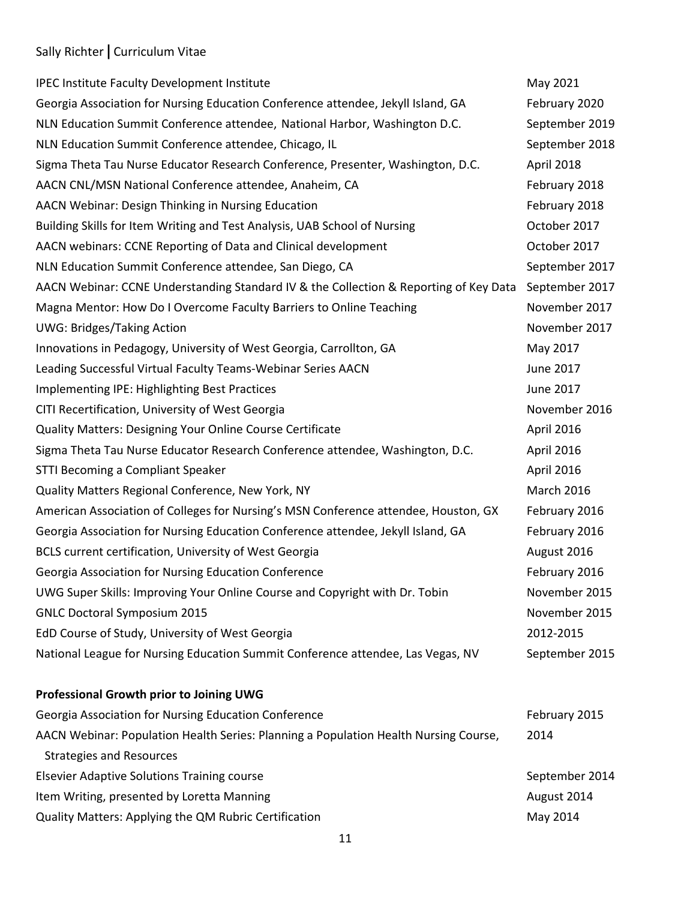| <b>IPEC Institute Faculty Development Institute</b>                                   | May 2021          |
|---------------------------------------------------------------------------------------|-------------------|
| Georgia Association for Nursing Education Conference attendee, Jekyll Island, GA      | February 2020     |
| NLN Education Summit Conference attendee, National Harbor, Washington D.C.            | September 2019    |
| NLN Education Summit Conference attendee, Chicago, IL                                 | September 2018    |
| Sigma Theta Tau Nurse Educator Research Conference, Presenter, Washington, D.C.       | April 2018        |
| AACN CNL/MSN National Conference attendee, Anaheim, CA                                | February 2018     |
| AACN Webinar: Design Thinking in Nursing Education                                    | February 2018     |
| Building Skills for Item Writing and Test Analysis, UAB School of Nursing             | October 2017      |
| AACN webinars: CCNE Reporting of Data and Clinical development                        | October 2017      |
| NLN Education Summit Conference attendee, San Diego, CA                               | September 2017    |
| AACN Webinar: CCNE Understanding Standard IV & the Collection & Reporting of Key Data | September 2017    |
| Magna Mentor: How Do I Overcome Faculty Barriers to Online Teaching                   | November 2017     |
| <b>UWG: Bridges/Taking Action</b>                                                     | November 2017     |
| Innovations in Pedagogy, University of West Georgia, Carrollton, GA                   | May 2017          |
| Leading Successful Virtual Faculty Teams-Webinar Series AACN                          | June 2017         |
| Implementing IPE: Highlighting Best Practices                                         | June 2017         |
| CITI Recertification, University of West Georgia                                      | November 2016     |
| <b>Quality Matters: Designing Your Online Course Certificate</b>                      | April 2016        |
| Sigma Theta Tau Nurse Educator Research Conference attendee, Washington, D.C.         | April 2016        |
| STTI Becoming a Compliant Speaker                                                     | April 2016        |
| Quality Matters Regional Conference, New York, NY                                     | <b>March 2016</b> |
| American Association of Colleges for Nursing's MSN Conference attendee, Houston, GX   | February 2016     |
| Georgia Association for Nursing Education Conference attendee, Jekyll Island, GA      | February 2016     |
| BCLS current certification, University of West Georgia                                | August 2016       |
| Georgia Association for Nursing Education Conference                                  | February 2016     |
| UWG Super Skills: Improving Your Online Course and Copyright with Dr. Tobin           | November 2015     |
| <b>GNLC Doctoral Symposium 2015</b>                                                   | November 2015     |
| EdD Course of Study, University of West Georgia                                       | 2012-2015         |
| National League for Nursing Education Summit Conference attendee, Las Vegas, NV       | September 2015    |
| Professional Growth prior to Joining UWG                                              |                   |
| Georgia Association for Nursing Education Conference                                  | February 2015     |
| AACN Webinar: Population Health Series: Planning a Population Health Nursing Course,  | 2014              |
| <b>Strategies and Resources</b>                                                       |                   |
| <b>Elsevier Adaptive Solutions Training course</b>                                    | September 2014    |
| Item Writing, presented by Loretta Manning                                            | August 2014       |
| Quality Matters: Applying the QM Rubric Certification                                 | May 2014          |